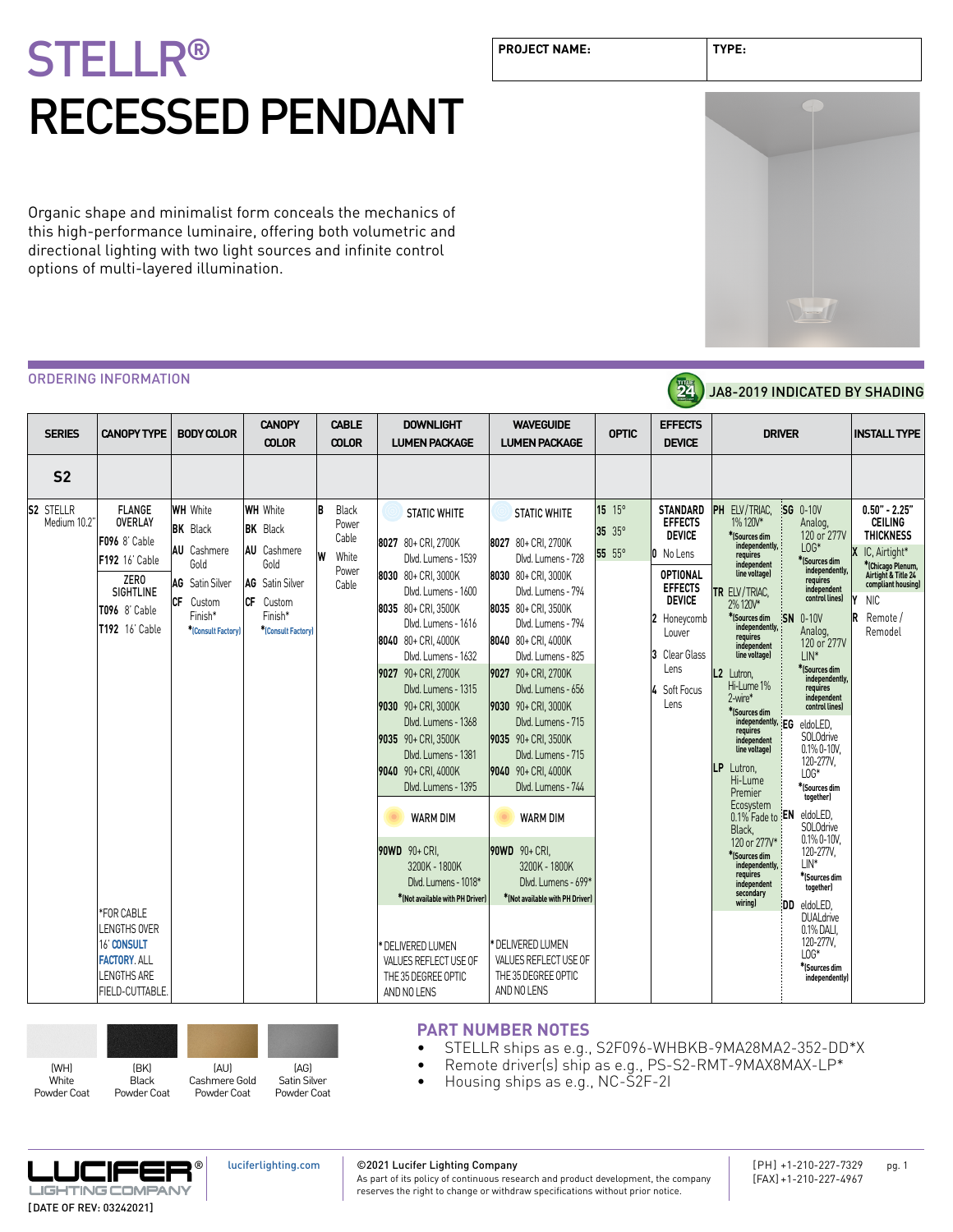Organic shape and minimalist form conceals the mechanics of this high-performance luminaire, offering both volumetric and directional lighting with two light sources and infinite control options of multi-layered illumination.

**PROJECT NAME: TYPE:**



#### ORDERING INFORMATION

|                                                    | ORDERING INFORMATION                                                                                                                          |                                                                                                                                           |                                                                                                                                           |                                                                |                                                                                                                                                                                                                                                                                                                                                                              |                                                                                                                                                                                                                                                                                                                                                                       |                            | 24                                                                                                                                                                                            | JA8-2019 INDICATED BY SHADING                                                                                                                                                                                                                                                                                                                                                                                                                                                                                                                                                                                                                                                                                                   |                                                                                                                                                                                      |
|----------------------------------------------------|-----------------------------------------------------------------------------------------------------------------------------------------------|-------------------------------------------------------------------------------------------------------------------------------------------|-------------------------------------------------------------------------------------------------------------------------------------------|----------------------------------------------------------------|------------------------------------------------------------------------------------------------------------------------------------------------------------------------------------------------------------------------------------------------------------------------------------------------------------------------------------------------------------------------------|-----------------------------------------------------------------------------------------------------------------------------------------------------------------------------------------------------------------------------------------------------------------------------------------------------------------------------------------------------------------------|----------------------------|-----------------------------------------------------------------------------------------------------------------------------------------------------------------------------------------------|---------------------------------------------------------------------------------------------------------------------------------------------------------------------------------------------------------------------------------------------------------------------------------------------------------------------------------------------------------------------------------------------------------------------------------------------------------------------------------------------------------------------------------------------------------------------------------------------------------------------------------------------------------------------------------------------------------------------------------|--------------------------------------------------------------------------------------------------------------------------------------------------------------------------------------|
| <b>SERIES</b>                                      | <b>CANOPY TYPE</b>                                                                                                                            | <b>BODY COLOR</b>                                                                                                                         | <b>CANOPY</b><br><b>COLOR</b>                                                                                                             | <b>CABLE</b><br><b>COLOR</b>                                   | <b>DOWNLIGHT</b><br><b>LUMEN PACKAGE</b>                                                                                                                                                                                                                                                                                                                                     | <b>WAVEGUIDE</b><br><b>LUMEN PACKAGE</b>                                                                                                                                                                                                                                                                                                                              | <b>OPTIC</b>               | <b>EFFECTS</b><br><b>DEVICE</b>                                                                                                                                                               | <b>DRIVER</b>                                                                                                                                                                                                                                                                                                                                                                                                                                                                                                                                                                                                                                                                                                                   | <b>INSTALL TYPE</b>                                                                                                                                                                  |
| S <sub>2</sub><br><b>S2 STELLR</b><br>Medium 10.2" | <b>FLANGE</b><br><b>OVERLAY</b><br>F096 8' Cable<br>F192 16' Cable<br>ZER <sub>0</sub><br>SIGHTLINE<br>T096 8' Cable<br><b>T192</b> 16' Cable | <b>WH</b> White<br><b>BK</b> Black<br><b>AU</b> Cashmere<br>Gold<br>AG Satin Silver<br><b>CF</b><br>Custom<br>Finish*<br>*Consult Factory | <b>WH</b> White<br><b>BK</b> Black<br><b>AU</b> Cashmere<br>Gold<br><b>AG</b> Satin Silver<br>СF<br>Custom<br>Finish*<br>*Consult Factory | İB<br>Black<br>Power<br>Cable<br>۱w<br>White<br>Power<br>Cable | <b>STATIC WHITE</b><br>8027 80+ CRI, 2700K<br>Dlvd. Lumens - 1539<br>8030 80+ CRI. 3000K<br>Dlvd. Lumens - 1600<br>8035 80+ CRI. 3500K<br>Dlvd. Lumens - 1616<br>8040 80+ CRI. 4000K<br>Dlvd. Lumens - 1632<br>9027 90+ CRI, 2700K<br>Dlvd. Lumens - 1315<br>9030 90+ CRI, 3000K<br>Dlvd. Lumens - 1368<br>9035 90+ CRI. 3500K<br>Dlvd. Lumens - 1381<br>9040 90+ CRI. 4000K | <b>STATIC WHITE</b><br>8027 80+ CRI. 2700K<br>Dlvd. Lumens - 728<br>8030 80+ CRI. 3000K<br>Dlvd. Lumens - 794<br>8035 80+ CRI. 3500K<br>Dlvd. Lumens - 794<br>8040 80+ CRI. 4000K<br>Dlvd. Lumens - 825<br>9027 90+ CRI, 2700K<br>Dlvd. Lumens - 656<br>9030 90+ CRI, 3000K<br>Dlvd. Lumens - 715<br>9035 90+ CRI. 3500K<br>Dlvd. Lumens - 715<br>9040 90+ CRI. 4000K | 15 15°<br>35 35°<br>55 55° | <b>STANDARD</b><br><b>EFFECTS</b><br><b>DEVICE</b><br>0 No Lens<br><b>OPTIONAL</b><br><b>EFFECTS</b><br><b>DEVICE</b><br>2 Honeycomb<br>Louver<br>3 Clear Glass<br>Lens<br>Soft Focus<br>Lens | PH ELV/TRIAC.<br><b>ISG</b> 0-10V<br>1%120V*<br>Analog,<br>120 or 277V<br>*(Sources dim<br>independently,<br>$LOG*$<br>requires<br>*(Sources dim<br>independent<br>independently,<br>line voltage)<br>requires<br>independent<br>TR ELV/TRIAC,<br>control lines)<br>2% 120V*<br>*(Sources dim<br><b>SN</b><br>$0-10V$<br>independently,<br>Analog,<br>requires<br>120 or 277V<br>independent<br>$LIN^*$<br>line voltage)<br>*(Sources dim<br>L2 Lutron,<br>independently,<br>Hi-Lume 1%<br>requires<br>independent<br>2-wire*<br>control lines)<br>*(Sources dim<br>independently, EG<br>eldoLED,<br>requires<br>SOLOdrive<br>independent<br>$0.1\%$ 0-10V,<br>line voltage)<br>120-277V,<br>LP<br>Lutron.<br>$LOG*$<br>Hi-Lume | $0.50" - 2.25"$<br><b>CEILING</b><br><b>THICKNESS</b><br>X IC, Airtight*<br>*(Chicago Plenum,<br>Airtight & Title 24<br>compliant housing)<br><b>NIC</b><br>R<br>Remote /<br>Remodel |
|                                                    | *FOR CABLE<br><b>LENGTHS OVER</b><br>16' CONSULT<br><b>FACTORY ALL</b><br><b>LENGTHS ARE</b><br>FIELD-CUTTABLE.                               |                                                                                                                                           |                                                                                                                                           |                                                                | Dlvd. Lumens - 1395<br><b>WARM DIM</b><br>90WD 90+ CRI.<br>3200K - 1800K<br>Dlvd. Lumens - 1018*<br>*(Not available with PH Driver)<br>* DELIVERED LUMEN<br>VALUES REFLECT USE OF<br>THE 35 DEGREE OPTIC<br>AND NO LENS                                                                                                                                                      | Dlvd. Lumens - 744<br><b>WARM DIM</b><br>90WD 90+ CRI.<br>3200K - 1800K<br>Dlvd. Lumens - 699*<br>*[Not available with PH Driver]<br>* DELIVERED LUMEN<br>VALUES REFLECT USE OF<br>THE 35 DEGREE OPTIC<br>AND NO LENS                                                                                                                                                 |                            |                                                                                                                                                                                               | *(Sources dim<br>Premier<br>together)<br>Ecosystem<br>0.1% Fade to EN eldoLED,<br>SOLOdrive<br>Black.<br>$0.1\%0 - 10V$<br>120 or 277V*<br>120-277V.<br>*(Sources dim<br>LIN*<br>independently,<br>requires<br>*(Sources dim<br>independent<br>together)<br>secondary<br>wiring)<br>DD eldoLED.<br><b>DUAL</b> drive<br>0.1% DALI,<br>120-277V,<br>$LOG*$<br>*(Sources dim<br>independently)                                                                                                                                                                                                                                                                                                                                    |                                                                                                                                                                                      |



### **PART NUMBER NOTES**

- STELLR ships as e.g., S2F096-WHBKB-9MA28MA2-352-DD\*X
- Remote driver(s) ship as e.g., PS-S2-RMT-9MAX8MAX-LP\*
- Housing ships as e.g., NC-S2F-2I



[luciferlighting.com](http://luciferlighting.com/)

### ©2021 Lucifer Lighting Company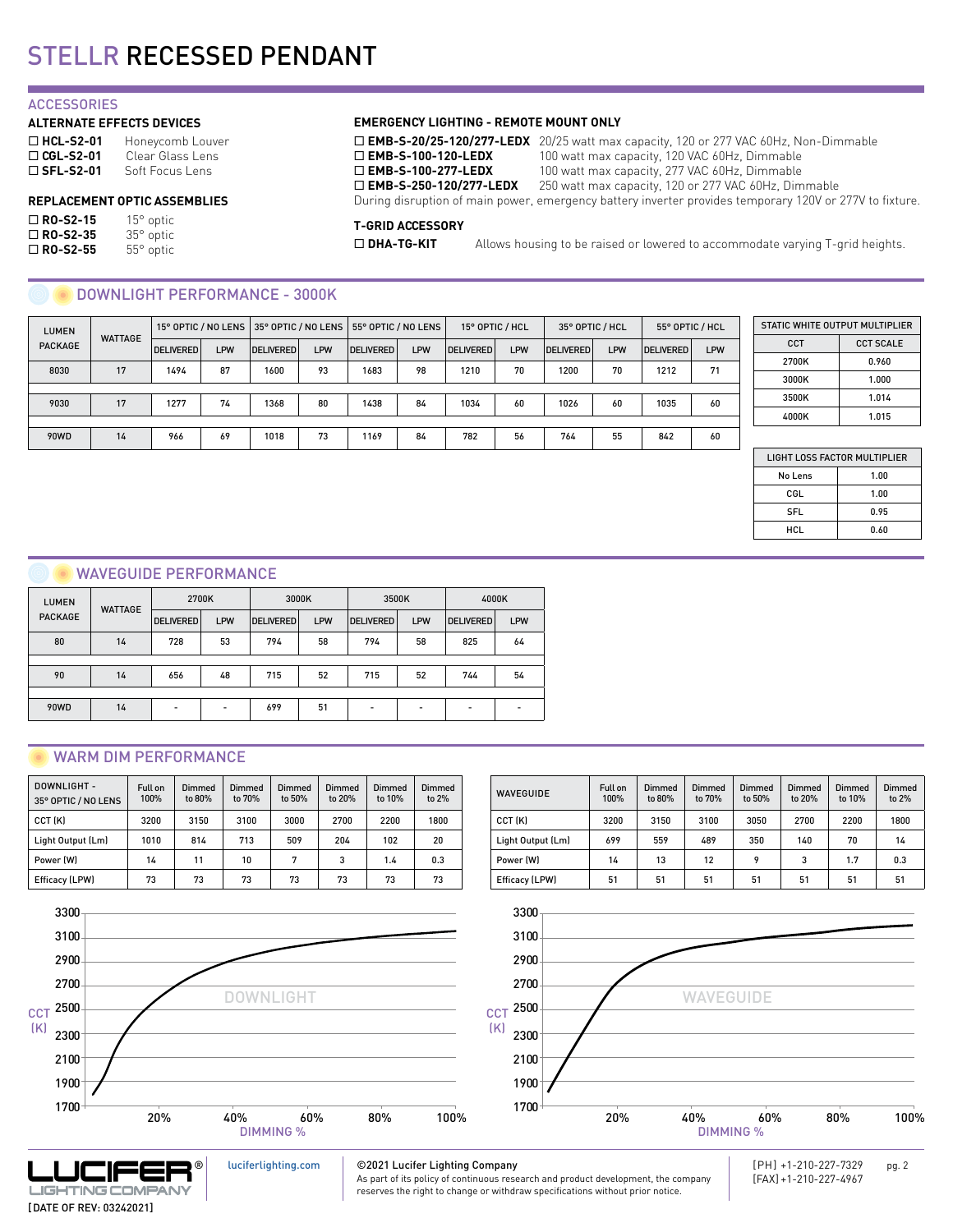#### **ACCESSORIES**

#### **ALTERNATE EFFECTS DEVICES**

| $\Box$ HCL-S2-01 | Honeycomb Louver |
|------------------|------------------|
| $\Box$ CGL-S2-01 | Clear Glass Lens |
| $\Box$ SFL-S2-01 | Soft Focus Lens  |

| $\Box$ RO-S2-15 | $15^{\circ}$ optic |
|-----------------|--------------------|
| $\Box$ RO-S2-35 | 35° optic          |
| $\Box$ RO-S2-55 | 55° optic          |

#### **EMERGENCY LIGHTING - REMOTE MOUNT ONLY**

□ **EMB-S-20/25-120/277-LEDX** 20/25 watt max capacity, 120 or 277 VAC 60Hz, Non-Dimmable<br>□ **EMB-S-100-120-LEDX** 100 watt max capacity, 120 VAC 60Hz, Dimmable **□ EMB-S-100-120-LEDX** 100 watt max capacity, 120 VAC 60Hz, Dimmable **□ EMB-S-100-277-LEDX** 100 watt max capacity, 277 VAC 60Hz, Dimmable 100 watt max capacity, 277 VAC 60Hz, Dimmable

□ **EMB-S-250-120/277-LEDX** 250 watt max capacity, 120 or 277 VAC 60Hz, Dimmable

**REPLACEMENT OPTIC ASSEMBLIES** During disruption of main power, emergency battery inverter provides temporary 120V or 277V to fixture.

#### **T-GRID ACCESSORY**

□ **DHA-TG-KIT** Allows housing to be raised or lowered to accommodate varying T-grid heights.

#### DOWNLIGHT PERFORMANCE - 3000K

| <b>LUMEN</b><br><b>WATTAGE</b> |                  |      |                  | 15° OPTIC / NO LENS 35° OPTIC / NO LENS |                  | 55° OPTIC / NO LENS |                  | 15° OPTIC / HCL |                  | 35° OPTIC / HCL |                  | 55° OPTIC / HCL |    |
|--------------------------------|------------------|------|------------------|-----------------------------------------|------------------|---------------------|------------------|-----------------|------------------|-----------------|------------------|-----------------|----|
| <b>PACKAGE</b>                 | <b>DELIVERED</b> | LPW  | <b>DELIVERED</b> | <b>LPW</b>                              | <b>DELIVERED</b> | <b>LPW</b>          | <b>DELIVERED</b> | LPW             | <b>DELIVERED</b> | LPW             | <b>DELIVERED</b> | <b>LPW</b>      |    |
| 8030                           | 17               | 1494 | 87               | 1600                                    | 93               | 1683                | 98               | 1210            | 70               | 1200            | 70               | 1212            | 71 |
|                                |                  |      |                  |                                         |                  |                     |                  |                 |                  |                 |                  |                 |    |
| 9030                           | 17               | 1277 | 74               | 1368                                    | 80               | 1438                | 84               | 1034            | 60               | 1026            | 60               | 1035            | 60 |
|                                |                  |      |                  |                                         |                  |                     |                  |                 |                  |                 |                  |                 |    |
| 90WD                           | 14               | 966  | 69               | 1018                                    | 73               | 1169                | 84               | 782             | 56               | 764             | 55               | 842             | 60 |

| STATIC WHITE OUTPUT MULTIPLIER |                  |  |  |  |  |  |
|--------------------------------|------------------|--|--|--|--|--|
| <b>CCT</b>                     | <b>CCT SCALE</b> |  |  |  |  |  |
| 2700K                          | 0.960            |  |  |  |  |  |
| 3000K                          | 1.000            |  |  |  |  |  |
| 3500K                          | 1.014            |  |  |  |  |  |
| 4000K                          | 1.015            |  |  |  |  |  |

| LIGHT LOSS FACTOR MULTIPLIER |  |
|------------------------------|--|
|                              |  |

| No Lens    | 1.00 |
|------------|------|
| CGL        | 1.00 |
| <b>SFL</b> | 0.95 |
| HCL        | 0.60 |

#### WAVEGUIDE PERFORMANCE

| <b>LUMEN</b><br><b>PACKAGE</b> | <b>WATTAGE</b> | 2700K                    |                          | 3000K            |     | 3500K            |     | 4000K            |     |
|--------------------------------|----------------|--------------------------|--------------------------|------------------|-----|------------------|-----|------------------|-----|
|                                |                | <b>DELIVERED</b>         | LPW                      | <b>DELIVERED</b> | LPW | <b>DELIVERED</b> | LPW | <b>DELIVERED</b> | LPW |
| 80                             | 14             | 728                      | 53                       | 794              | 58  | 794              | 58  | 825              | 64  |
|                                |                |                          |                          |                  |     |                  |     |                  |     |
| 90                             | 14             | 656                      | 48                       | 715              | 52  | 715              | 52  | 744              | 54  |
|                                |                |                          |                          |                  |     |                  |     |                  |     |
| 90WD                           | 14             | $\overline{\phantom{0}}$ | $\overline{\phantom{a}}$ | 699              | 51  |                  | -   | ۰                |     |

### WARM DIM PERFORMANCE

| DOWNLIGHT -<br>35° OPTIC / NO LENS | Full on<br>100% | Dimmed<br>to 80% | Dimmed<br>to 70% | <b>Dimmed</b><br>to 50% | Dimmed<br>to 20% | Dimmed<br>to 10% | <b>Dimmed</b><br>to $2%$ |
|------------------------------------|-----------------|------------------|------------------|-------------------------|------------------|------------------|--------------------------|
| CCT (K)                            | 3200            | 3150             | 3100             | 3000                    | 2700             | 2200             | 1800                     |
| Light Output (Lm)                  | 1010            | 814              | 713              | 509                     | 204              | 102              | 20                       |
| Power (W)                          | 14              | 11               | 10               | 7                       | 3                | 1.4              | 0.3                      |
| Efficacy (LPW)                     | 73              | 73               | 73               | 73                      | 73               | 73               | 73                       |

[luciferlighting.com](http://luciferlighting.com/)





#### ©2021 Lucifer Lighting Company

As part of its policy of continuous research and product development, the company reserves the right to change or withdraw specifications without prior notice.

WAVEGUIDE Full on

100%

Dimmed to 80%

Dimmed to 70%

CCT (K) | 3200 | 3150 | 3100 | 3050 | 2700 | 2200 | 1800 Light Output (Lm) 699 559 489 350 140 70 14 Power (W) 14 13 12 9 3 1.7 0.3 Efficacy (LPW) 51 51 51 51 51 51 51

Dimmed to 50%

Dimmed to 20%

Dimmed to 10%

Dimmed to 2%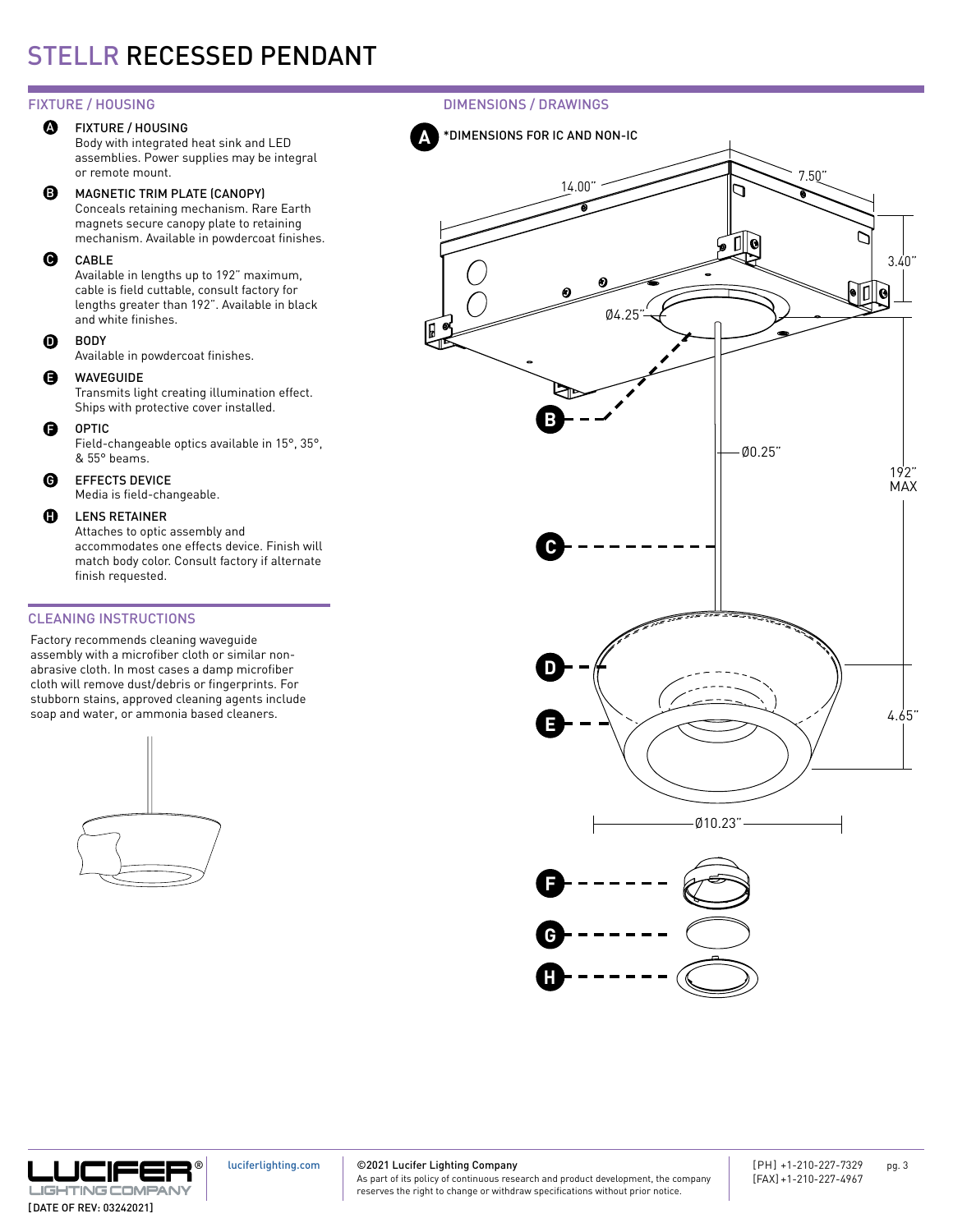#### FIXTURE / HOUSING **A**

Body with integrated heat sink and LED assemblies. Power supplies may be integral or remote mount.

#### MAGNETIC TRIM PLATE (CANOPY) B

Conceals retaining mechanism. Rare Earth magnets secure canopy plate to retaining mechanism. Available in powdercoat finishes.

#### CABLE  $\boldsymbol{\Theta}$

Available in lengths up to 192" maximum, cable is field cuttable, consult factory for lengths greater than 192". Available in black and white finishes.

BODY  $\Omega$ 

Available in powdercoat finishes.

#### WAVEGUIDE E

Transmits light creating illumination effect. Ships with protective cover installed.

OPTIC  $\mathbf \Theta$ 

Field-changeable optics available in 15°, 35°, & 55° beams.

#### EFFECTS DEVICE  $\mathbf{\Theta}$

Media is field-changeable.

#### LENS RETAINER  $\mathbf{D}$

Attaches to optic assembly and accommodates one effects device. Finish will match body color. Consult factory if alternate finish requested.

### CLEANING INSTRUCTIONS

Factory recommends cleaning waveguide assembly with a microfiber cloth or similar nonabrasive cloth. In most cases a damp microfiber cloth will remove dust/debris or fingerprints. For stubborn stains, approved cleaning agents include soap and water, or ammonia based cleaners.



FIXTURE / HOUSING DIMENSIONS / DRAWINGS





[luciferlighting.com](http://luciferlighting.com/)

©2021 Lucifer Lighting Company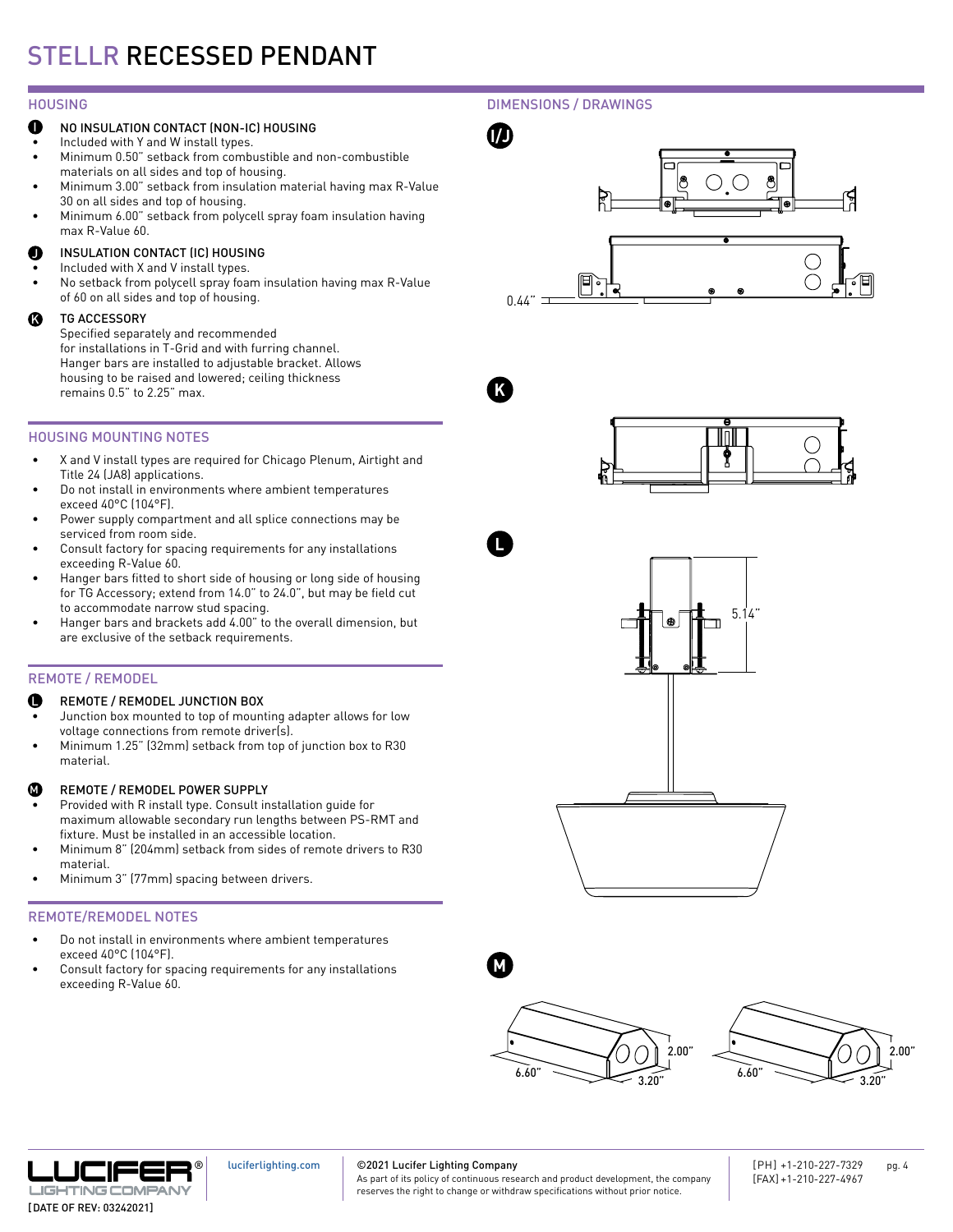#### HOUSING

## **I/J** IND INSULATION CONTACT (NON-IC) HOUSING<br> **I** Included with Y and W install types

- Included with Y and W install types.
- Minimum 0.50" setback from combustible and non-combustible materials on all sides and top of housing.
- Minimum 3.00" setback from insulation material having max R-Value 30 on all sides and top of housing.
- Minimum 6.00" setback from polycell spray foam insulation having max R-Value 60.

#### INSULATION CONTACT (IC) HOUSING J

- Included with X and V install types.
- No setback from polycell spray foam insulation having max R-Value of 60 on all sides and top of housing.

#### TG ACCESSORY K

Specified separately and recommended for installations in T-Grid and with furring channel. Hanger bars are installed to adjustable bracket. Allows housing to be raised and lowered; ceiling thickness remains 0.5" to 2.25" max.

## HOUSING MOUNTING NOTES

- X and V install types are required for Chicago Plenum, Airtight and Title 24 (JA8) applications.
- Do not install in environments where ambient temperatures exceed 40°C (104°F).
- Power supply compartment and all splice connections may be serviced from room side.
- Consult factory for spacing requirements for any installations exceeding R-Value 60.
- Hanger bars fitted to short side of housing or long side of housing for TG Accessory; extend from 14.0" to 24.0", but may be field cut to accommodate narrow stud spacing.
- Hanger bars and brackets add 4.00" to the overall dimension, but are exclusive of the setback requirements.

### REMOTE / REMODEL

#### REMOTE / REMODEL JUNCTION BOX L

- Junction box mounted to top of mounting adapter allows for low voltage connections from remote driver(s).
- Minimum 1.25" (32mm) setback from top of junction box to R30 material.

#### REMOTE / REMODEL POWER SUPPLY M

- Provided with R install type. Consult installation guide for maximum allowable secondary run lengths between PS-RMT and fixture. Must be installed in an accessible location.
- Minimum 8" (204mm) setback from sides of remote drivers to R30 material.
- Minimum 3" (77mm) spacing between drivers.

### REMOTE/REMODEL NOTES

- Do not install in environments where ambient temperatures exceed 40°C (104°F).
- Consult factory for spacing requirements for any installations exceeding R-Value 60.

## DIMENSIONS / DRAWINGS





**L**













#### [luciferlighting.com](http://luciferlighting.com/)

©2021 Lucifer Lighting Company As part of its policy of continuous research and product development, the company

reserves the right to change or withdraw specifications without prior notice.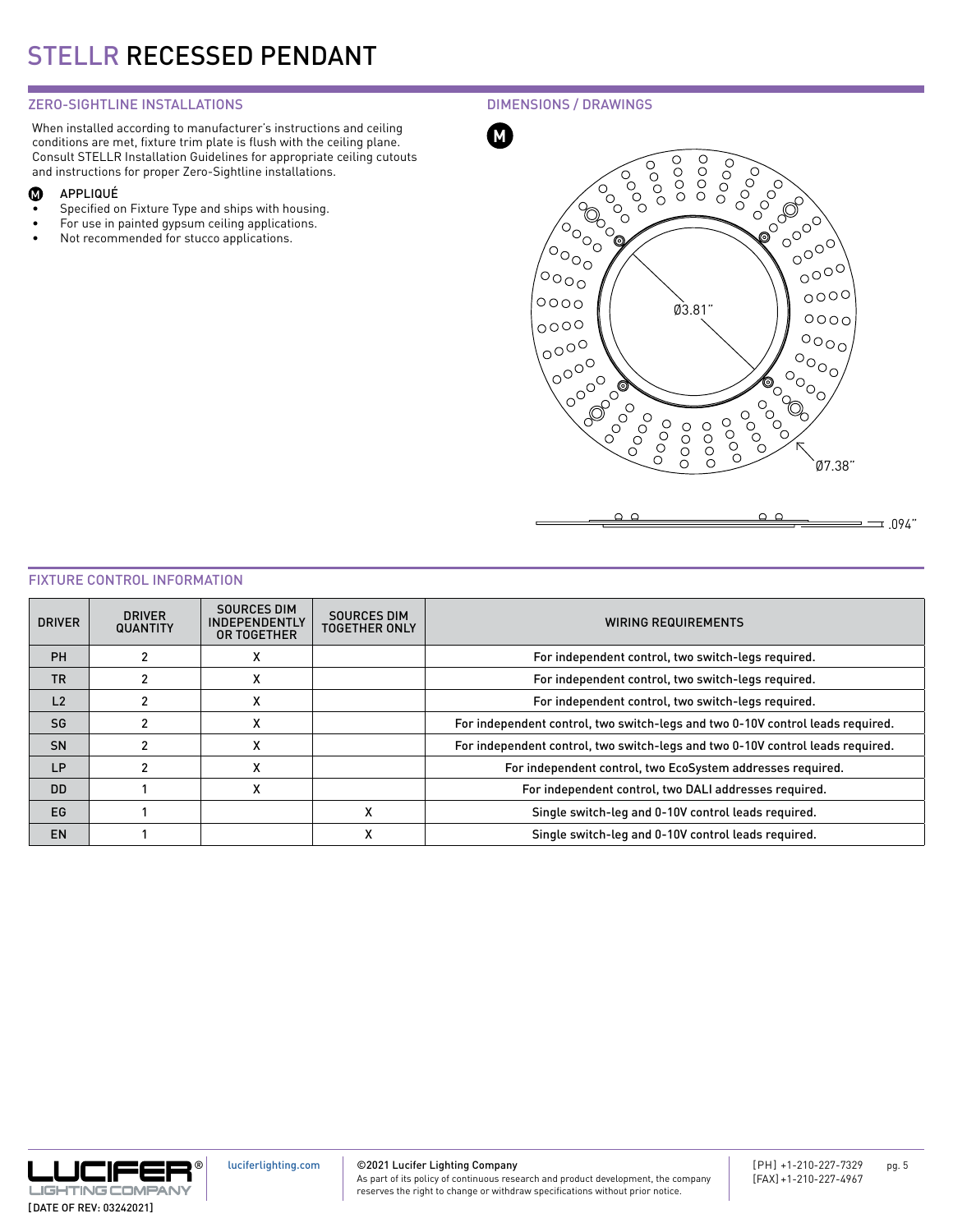## ZERO-SIGHTLINE INSTALLATIONS

When installed according to manufacturer's instructions and ceiling conditions are met, fixture trim plate is flush with the ceiling plane. Consult STELLR Installation Guidelines for appropriate ceiling cutouts and instructions for proper Zero-Sightline installations.

#### APPLIQUÉ  $\boldsymbol{\Phi}$

- Specified on Fixture Type and ships with housing.
- For use in painted gypsum ceiling applications.
- Not recommended for stucco applications.

DIMENSIONS / DRAWINGS



#### FIXTURE CONTROL INFORMATION

| <b>DRIVER</b>  | <b>DRIVER</b><br><b>QUANTITY</b> | <b>SOURCES DIM</b><br><b>INDEPENDENTLY</b><br>OR TOGETHER | <b>SOURCES DIM</b><br><b>TOGETHER ONLY</b> | <b>WIRING REQUIREMENTS</b>                                                     |
|----------------|----------------------------------|-----------------------------------------------------------|--------------------------------------------|--------------------------------------------------------------------------------|
| <b>PH</b>      |                                  | $\lambda$                                                 |                                            | For independent control, two switch-legs required.                             |
| <b>TR</b>      |                                  | ⋏                                                         |                                            | For independent control, two switch-legs required.                             |
| L <sub>2</sub> | 2                                | ⋏                                                         |                                            | For independent control, two switch-legs required.                             |
| SG             |                                  | $\checkmark$<br>$\lambda$                                 |                                            | For independent control, two switch-legs and two 0-10V control leads required. |
| SN             |                                  | $\lambda$                                                 |                                            | For independent control, two switch-legs and two 0-10V control leads required. |
| <b>LP</b>      |                                  | x                                                         |                                            | For independent control, two EcoSystem addresses required.                     |
| <b>DD</b>      |                                  | X                                                         |                                            | For independent control, two DALI addresses required.                          |
| EG             |                                  |                                                           | x                                          | Single switch-leg and 0-10V control leads required.                            |
| <b>EN</b>      |                                  |                                                           | х                                          | Single switch-leg and 0-10V control leads required.                            |



©2021 Lucifer Lighting Company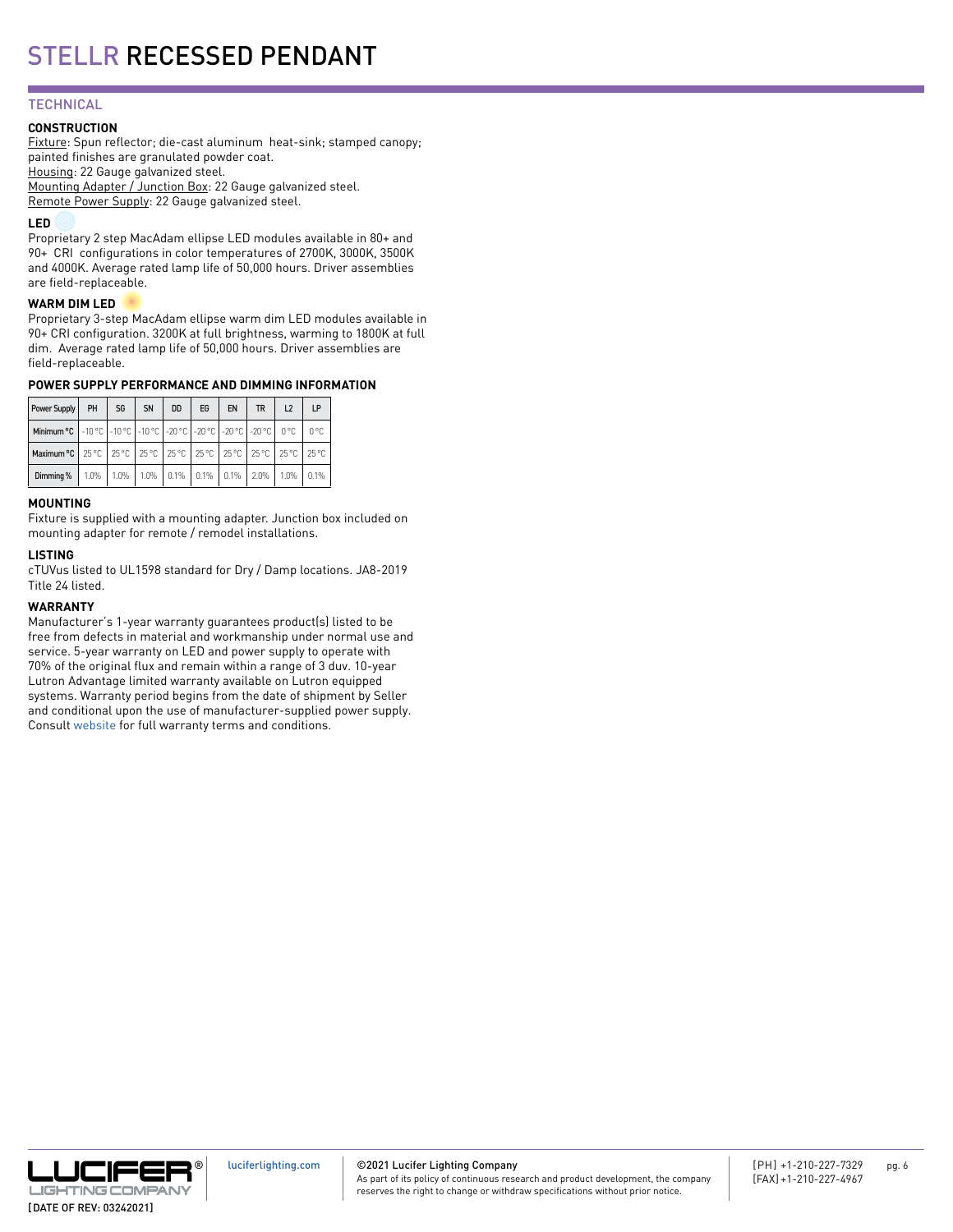## **TECHNICAL**

#### **CONSTRUCTION**

Fixture: Spun reflector; die-cast aluminum heat-sink; stamped canopy; painted finishes are granulated powder coat. Housing: 22 Gauge galvanized steel. Mounting Adapter / Junction Box: 22 Gauge galvanized steel. Remote Power Supply: 22 Gauge galvanized steel.

#### **LED**

Proprietary 2 step MacAdam ellipse LED modules available in 80+ and 90+ CRI configurations in color temperatures of 2700K, 3000K, 3500K and 4000K. Average rated lamp life of 50,000 hours. Driver assemblies are field-replaceable.

#### **WARM DIM LED**

Proprietary 3-step MacAdam ellipse warm dim LED modules available in 90+ CRI configuration. 3200K at full brightness, warming to 1800K at full dim. Average rated lamp life of 50,000 hours. Driver assemblies are field-replaceable.

#### **POWER SUPPLY PERFORMANCE AND DIMMING INFORMATION**

| Power Supply                                                                                                                          | PH | SG                                                           | SN | <b>DD</b> | EG | EN | <b>TR</b> | L2 | LP |
|---------------------------------------------------------------------------------------------------------------------------------------|----|--------------------------------------------------------------|----|-----------|----|----|-----------|----|----|
| <b>Minimum °C</b> $\vert$ -10 °C $\vert$ -10 °C $\vert$ -10 °C $\vert$ -20 °C $\vert$ -20 °C $\vert$ -20 °C $\vert$ 0 °C $\vert$ 0 °C |    |                                                              |    |           |    |    |           |    |    |
| Maximum °C   25 °C   25 °C   25 °C   25 °C   25 °C   25 °C   25 °C   25 °C   25 °C                                                    |    |                                                              |    |           |    |    |           |    |    |
| Dimming %                                                                                                                             |    | 1.0%   1.0%   1.0%   0.1%   0.1%   0.1%   2.0%   1.0%   0.1% |    |           |    |    |           |    |    |

#### **MOUNTING**

Fixture is supplied with a mounting adapter. Junction box included on mounting adapter for remote / remodel installations.

#### **LISTING**

cTUVus listed to UL1598 standard for Dry / Damp locations. JA8-2019 Title 24 listed.

#### **WARRANTY**

Manufacturer's 1-year warranty guarantees product(s) listed to be free from defects in material and workmanship under normal use and service. 5-year warranty on LED and power supply to operate with 70% of the original flux and remain within a range of 3 duv. 10-year Lutron Advantage limited warranty available on Lutron equipped systems. Warranty period begins from the date of shipment by Seller and conditional upon the use of manufacturer-supplied power supply. Consult [website](https://luciferlighting.com/Warranty) for full warranty terms and conditions.